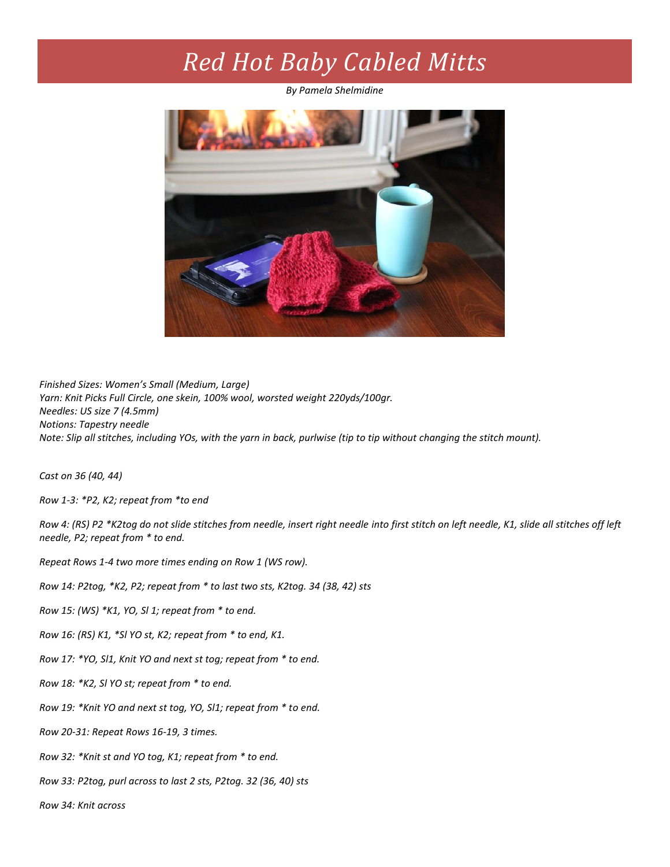## *Red Hot Baby Cabled Mitts*

*By Pamela Shelmidine*



*Finished Sizes: Women's Small (Medium, Large) Yarn: Knit Picks Full Circle, one skein, 100% wool, worsted weight 220yds/100gr. Needles: US size 7 (4.5mm) Notions: Tapestry needle Note: Slip all stitches, including YOs, with the yarn in back, purlwise (tip to tip without changing the stitch mount).*

*Cast on 36 (40, 44)*

*Row 1-3: \*P2, K2; repeat from \*to end*

*Row 4: (RS) P2 \*K2tog do not slide stitches from needle, insert right needle into first stitch on left needle, K1, slide all stitches off left needle, P2; repeat from \* to end.*

*Repeat Rows 1-4 two more times ending on Row 1 (WS row).*

*Row 14: P2tog, \*K2, P2; repeat from \* to last two sts, K2tog. 34 (38, 42) sts*

*Row 15: (WS) \*K1, YO, Sl 1; repeat from \* to end.*

*Row 16: (RS) K1, \*Sl YO st, K2; repeat from \* to end, K1.*

*Row 17: \*YO, Sl1, Knit YO and next st tog; repeat from \* to end.*

*Row 18: \*K2, Sl YO st; repeat from \* to end.* 

*Row 19: \*Knit YO and next st tog, YO, Sl1; repeat from \* to end.*

*Row 20-31: Repeat Rows 16-19, 3 times.*

*Row 32: \*Knit st and YO tog, K1; repeat from \* to end.*

*Row 33: P2tog, purl across to last 2 sts, P2tog. 32 (36, 40) sts*

*Row 34: Knit across*